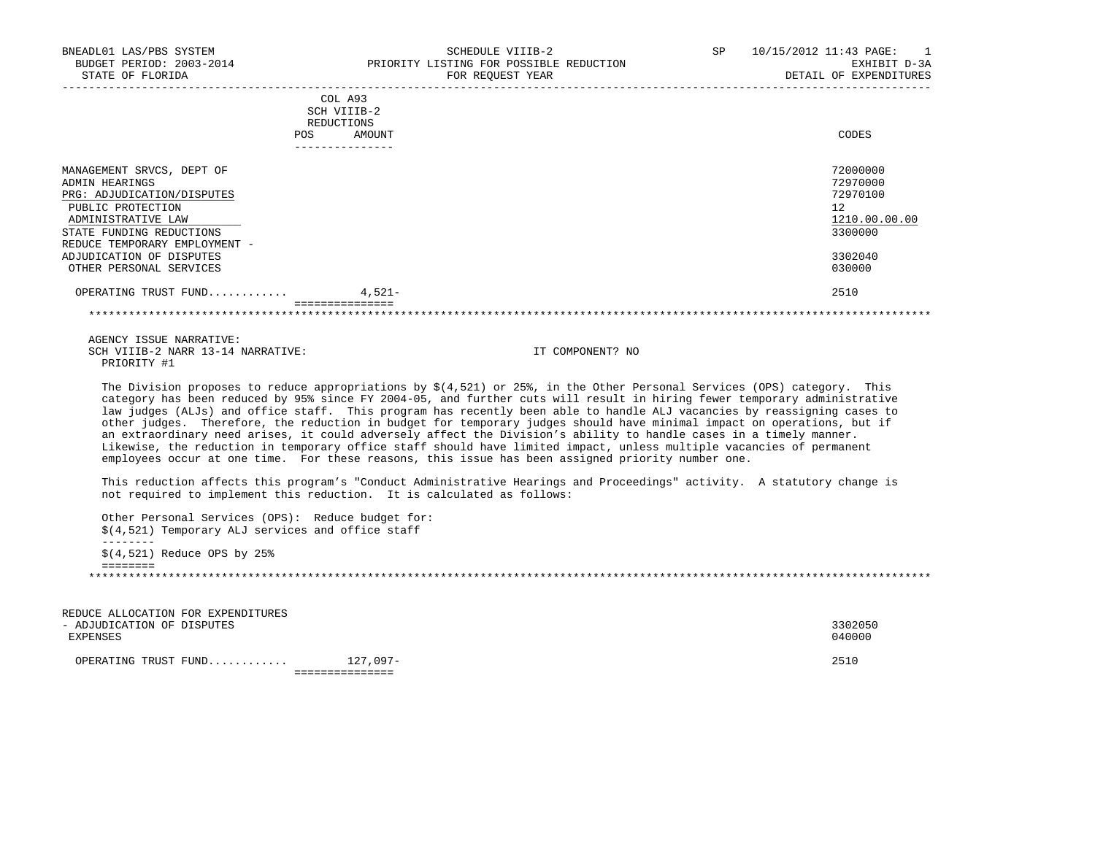| BNEADL01 LAS/PBS SYSTEM<br>BUDGET PERIOD: 2003-2014<br>STATE OF FLORIDA                                                                                                           | SCHEDULE VIIIB-2<br>PRIORITY LISTING FOR POSSIBLE REDUCTION<br>FOR REQUEST YEAR | SP<br>$10/15/2012$ $11:43$ $PAGE:$ 1<br>EXHIBIT D-3A<br>DETAIL OF EXPENDITURES |
|-----------------------------------------------------------------------------------------------------------------------------------------------------------------------------------|---------------------------------------------------------------------------------|--------------------------------------------------------------------------------|
|                                                                                                                                                                                   | COL A93<br>SCH VIIIB-2<br>REDUCTIONS<br>POS<br>AMOUNT                           | CODES                                                                          |
| MANAGEMENT SRVCS, DEPT OF<br>ADMIN HEARINGS<br>PRG: ADJUDICATION/DISPUTES<br>PUBLIC PROTECTION<br>ADMINISTRATIVE LAW<br>STATE FUNDING REDUCTIONS<br>REDUCE TEMPORARY EMPLOYMENT - |                                                                                 | 72000000<br>72970000<br>72970100<br>12<br>1210.00.00.00<br>3300000             |
| ADJUDICATION OF DISPUTES<br>OTHER PERSONAL SERVICES                                                                                                                               |                                                                                 | 3302040<br>030000                                                              |
| OPERATING TRUST FUND                                                                                                                                                              | $4,521-$<br>===============                                                     | 2510                                                                           |
|                                                                                                                                                                                   |                                                                                 |                                                                                |

\*\*\*\*\*\*\*\*\*\*\*\*\*\*\*\*\*\*\*\*\*\*\*\*\*\*\*\*\*\*\*\*\*\*\*\*\*\*\*\*\*\*\*\*\*\*\*\*\*\*\*\*\*\*\*\*\*\*\*\*\*\*\*\*\*\*\*\*\*\*\*\*\*\*\*\*\*\*\*\*\*\*\*\*\*\*\*\*\*\*\*\*\*\*\*\*\*\*\*\*\*\*\*\*\*\*\*\*\*\*\*\*\*\*\*\*\*\*\*\*\*\*\*\*\*\*\*

 AGENCY ISSUE NARRATIVE: SCH VIIIB-2 NARR 13-14 NARRATIVE: IT COMPONENT? NO PRIORITY #1

The Division proposes to reduce appropriations by  $$(4,521)$  or 25%, in the Other Personal Services (OPS) category. This category has been reduced by 95% since FY 2004-05, and further cuts will result in hiring fewer temporary administrative law judges (ALJs) and office staff. This program has recently been able to handle ALJ vacancies by reassigning cases to other judges. Therefore, the reduction in budget for temporary judges should have minimal impact on operations, but if an extraordinary need arises, it could adversely affect the Division's ability to handle cases in a timely manner. Likewise, the reduction in temporary office staff should have limited impact, unless multiple vacancies of permanent employees occur at one time. For these reasons, this issue has been assigned priority number one.

 This reduction affects this program's "Conduct Administrative Hearings and Proceedings" activity. A statutory change is not required to implement this reduction. It is calculated as follows:

 Other Personal Services (OPS): Reduce budget for: \$(4,521) Temporary ALJ services and office staff -------- \$(4,521) Reduce OPS by 25% ======== \*\*\*\*\*\*\*\*\*\*\*\*\*\*\*\*\*\*\*\*\*\*\*\*\*\*\*\*\*\*\*\*\*\*\*\*\*\*\*\*\*\*\*\*\*\*\*\*\*\*\*\*\*\*\*\*\*\*\*\*\*\*\*\*\*\*\*\*\*\*\*\*\*\*\*\*\*\*\*\*\*\*\*\*\*\*\*\*\*\*\*\*\*\*\*\*\*\*\*\*\*\*\*\*\*\*\*\*\*\*\*\*\*\*\*\*\*\*\*\*\*\*\*\*\*\*\*

 REDUCE ALLOCATION FOR EXPENDITURES - ADJUDICATION OF DISPUTES 3302050 EXPENSES 040000 OPERATING TRUST FUND............ 127,097- 2510 ===============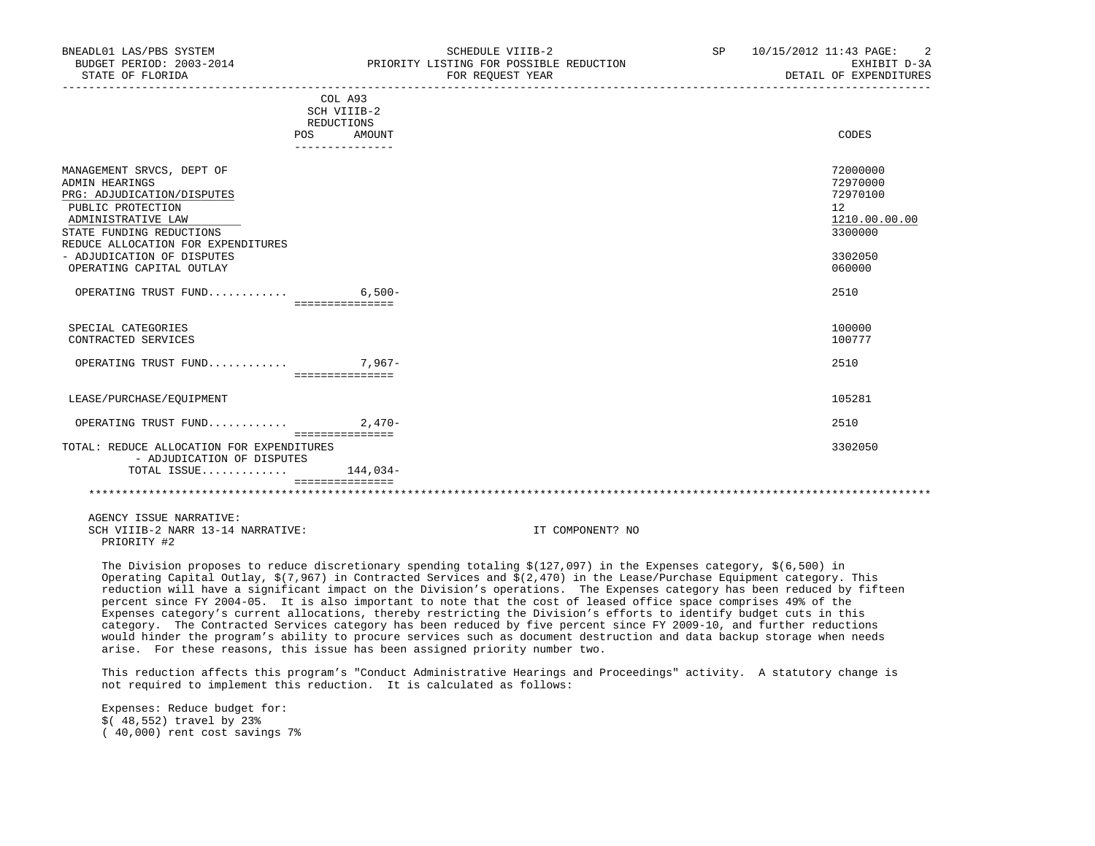| BNEADL01 LAS/PBS SYSTEM<br>BUDGET PERIOD: 2003-2014<br>STATE OF FLORIDA |                           | SCHEDULE VIIIB-2<br>PRIORITY LISTING FOR POSSIBLE REDUCTION<br>FOR REOUEST YEAR                                              | SP 10/15/2012 11:43 PAGE: 2<br>EXHIBIT D-3A<br>DETAIL OF EXPENDITURES |
|-------------------------------------------------------------------------|---------------------------|------------------------------------------------------------------------------------------------------------------------------|-----------------------------------------------------------------------|
|                                                                         |                           |                                                                                                                              |                                                                       |
|                                                                         | COL A93                   |                                                                                                                              |                                                                       |
|                                                                         | SCH VIIIB-2<br>REDUCTIONS |                                                                                                                              |                                                                       |
|                                                                         | POS<br>AMOUNT             |                                                                                                                              | CODES                                                                 |
|                                                                         | _______________           |                                                                                                                              |                                                                       |
| MANAGEMENT SRVCS, DEPT OF                                               |                           |                                                                                                                              | 72000000                                                              |
| ADMIN HEARINGS                                                          |                           |                                                                                                                              | 72970000                                                              |
| PRG: ADJUDICATION/DISPUTES                                              |                           |                                                                                                                              | 72970100                                                              |
| PUBLIC PROTECTION                                                       |                           |                                                                                                                              | 12 <sup>°</sup>                                                       |
| ADMINISTRATIVE LAW                                                      |                           |                                                                                                                              | 1210.00.00.00                                                         |
| STATE FUNDING REDUCTIONS                                                |                           |                                                                                                                              | 3300000                                                               |
| REDUCE ALLOCATION FOR EXPENDITURES                                      |                           |                                                                                                                              |                                                                       |
| - ADJUDICATION OF DISPUTES                                              |                           |                                                                                                                              | 3302050                                                               |
| OPERATING CAPITAL OUTLAY                                                |                           |                                                                                                                              | 060000                                                                |
|                                                                         |                           |                                                                                                                              |                                                                       |
| OPERATING TRUST FUND 6,500-                                             |                           |                                                                                                                              | 2510                                                                  |
|                                                                         | ===============           |                                                                                                                              |                                                                       |
| SPECIAL CATEGORIES                                                      |                           |                                                                                                                              | 100000                                                                |
| CONTRACTED SERVICES                                                     |                           |                                                                                                                              | 100777                                                                |
|                                                                         |                           |                                                                                                                              |                                                                       |
| OPERATING TRUST FUND 7,967-                                             |                           |                                                                                                                              | 2510                                                                  |
|                                                                         | ================          |                                                                                                                              |                                                                       |
| LEASE/PURCHASE/EOUIPMENT                                                |                           |                                                                                                                              | 105281                                                                |
| OPERATING TRUST FUND 2,470-                                             |                           |                                                                                                                              | 2510                                                                  |
|                                                                         | ===============           |                                                                                                                              |                                                                       |
| TOTAL: REDUCE ALLOCATION FOR EXPENDITURES<br>- ADJUDICATION OF DISPUTES |                           |                                                                                                                              | 3302050                                                               |
| TOTAL ISSUE $144.034-$                                                  |                           |                                                                                                                              |                                                                       |
|                                                                         | ===============           |                                                                                                                              |                                                                       |
|                                                                         |                           |                                                                                                                              |                                                                       |
| AGENCY ISSUE NARRATIVE:                                                 |                           |                                                                                                                              |                                                                       |
| SCH VIIIB-2 NARR 13-14 NARRATIVE:                                       |                           | IT COMPONENT? NO                                                                                                             |                                                                       |
| PRIORITY #2                                                             |                           |                                                                                                                              |                                                                       |
|                                                                         |                           |                                                                                                                              |                                                                       |
|                                                                         |                           | The Division proposes to reduce discretionary growding totaling $\phi(127, 007)$ in the European setescomy $\phi(E, E00)$ in |                                                                       |

 The Division proposes to reduce discretionary spending totaling \$(127,097) in the Expenses category, \$(6,500) in Operating Capital Outlay, \$(7,967) in Contracted Services and \$(2,470) in the Lease/Purchase Equipment category. This reduction will have a significant impact on the Division's operations. The Expenses category has been reduced by fifteen percent since FY 2004-05. It is also important to note that the cost of leased office space comprises 49% of the Expenses category's current allocations, thereby restricting the Division's efforts to identify budget cuts in this category. The Contracted Services category has been reduced by five percent since FY 2009-10, and further reductions would hinder the program's ability to procure services such as document destruction and data backup storage when needs arise. For these reasons, this issue has been assigned priority number two.

 This reduction affects this program's "Conduct Administrative Hearings and Proceedings" activity. A statutory change is not required to implement this reduction. It is calculated as follows:

 Expenses: Reduce budget for: \$( 48,552) travel by 23% ( 40,000) rent cost savings 7%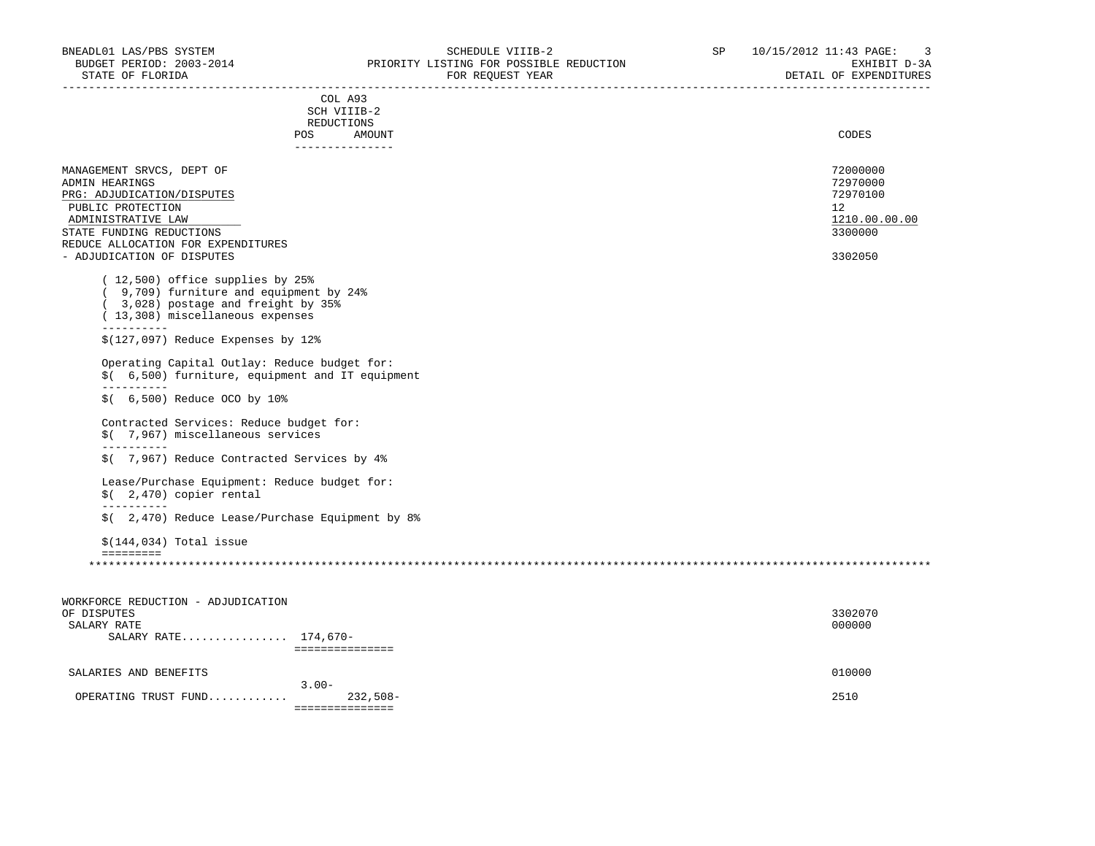|                                                                                                                                                                                                                                                                                                                                                                           | COL A93                                           |               |
|---------------------------------------------------------------------------------------------------------------------------------------------------------------------------------------------------------------------------------------------------------------------------------------------------------------------------------------------------------------------------|---------------------------------------------------|---------------|
|                                                                                                                                                                                                                                                                                                                                                                           | SCH VIIIB-2                                       |               |
|                                                                                                                                                                                                                                                                                                                                                                           | REDUCTIONS<br>POS                                 | CODES         |
|                                                                                                                                                                                                                                                                                                                                                                           | AMOUNT<br>---------------                         |               |
|                                                                                                                                                                                                                                                                                                                                                                           |                                                   |               |
| MANAGEMENT SRVCS, DEPT OF                                                                                                                                                                                                                                                                                                                                                 |                                                   | 72000000      |
| ADMIN HEARINGS                                                                                                                                                                                                                                                                                                                                                            |                                                   | 72970000      |
| PRG: ADJUDICATION/DISPUTES                                                                                                                                                                                                                                                                                                                                                |                                                   | 72970100      |
| PUBLIC PROTECTION                                                                                                                                                                                                                                                                                                                                                         |                                                   | 12            |
| ADMINISTRATIVE LAW                                                                                                                                                                                                                                                                                                                                                        |                                                   | 1210.00.00.00 |
| STATE FUNDING REDUCTIONS                                                                                                                                                                                                                                                                                                                                                  |                                                   | 3300000       |
| REDUCE ALLOCATION FOR EXPENDITURES                                                                                                                                                                                                                                                                                                                                        |                                                   |               |
| - ADJUDICATION OF DISPUTES                                                                                                                                                                                                                                                                                                                                                |                                                   | 3302050       |
| (12,500) office supplies by 25%<br>(9,709) furniture and equipment by 24%<br>(3,028) postage and freight by 35%<br>(13,308) miscellaneous expenses<br>-----------<br>$$(127,097)$ Reduce Expenses by 12%<br>Operating Capital Outlay: Reduce budget for:<br>$$$ (6,500) Reduce OCO by 10%<br>Contracted Services: Reduce budget for:<br>\$( 7,967) miscellaneous services | \$(6,500) furniture, equipment and IT equipment   |               |
| -----------<br>\$( 7,967) Reduce Contracted Services by 4%                                                                                                                                                                                                                                                                                                                |                                                   |               |
| Lease/Purchase Equipment: Reduce budget for:<br>$$$ (2,470) copier rental<br>-----------                                                                                                                                                                                                                                                                                  |                                                   |               |
|                                                                                                                                                                                                                                                                                                                                                                           | $$$ (2,470) Reduce Lease/Purchase Equipment by 8% |               |
|                                                                                                                                                                                                                                                                                                                                                                           |                                                   |               |

| WORKFORCE REDUCTION - ADJUDICATION |            |         |
|------------------------------------|------------|---------|
| OF DISPUTES                        |            | 3302070 |
| SALARY RATE                        |            | 000000  |
| SALARY RATE 174,670-               |            |         |
|                                    |            |         |
| SALARIES AND BENEFITS              |            | 010000  |
|                                    | $3.00 -$   |         |
| OPERATING TRUST FUND               | $232,508-$ | 2510    |
|                                    |            |         |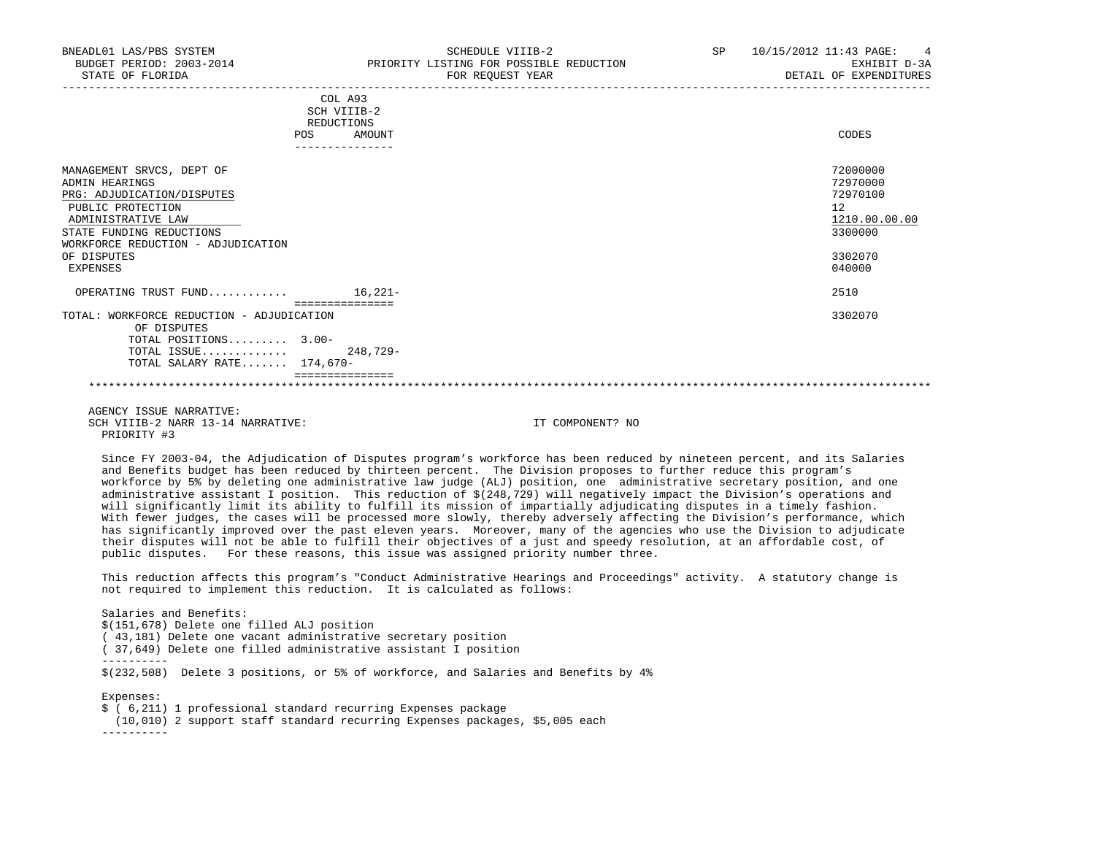| BNEADL01 LAS/PBS SYSTEM<br>BUDGET PERIOD: 2003-2014<br>STATE OF FLORIDA                                                                          | SCHEDULE VIIIB-2<br>PRIORITY LISTING FOR POSSIBLE REDUCTION<br>FOR REOUEST YEAR | SP<br>10/15/2012 11:43 PAGE:<br>$\overline{4}$<br>EXHIBIT D-3A<br>DETAIL OF EXPENDITURES |
|--------------------------------------------------------------------------------------------------------------------------------------------------|---------------------------------------------------------------------------------|------------------------------------------------------------------------------------------|
|                                                                                                                                                  | COL A93<br>SCH VIIIB-2<br>REDUCTIONS                                            |                                                                                          |
|                                                                                                                                                  | AMOUNT<br>POS.                                                                  | CODES                                                                                    |
| MANAGEMENT SRVCS, DEPT OF<br>ADMIN HEARINGS<br>PRG: ADJUDICATION/DISPUTES<br>PUBLIC PROTECTION<br>ADMINISTRATIVE LAW<br>STATE FUNDING REDUCTIONS |                                                                                 | 72000000<br>72970000<br>72970100<br>12<br>1210.00.00.00<br>3300000                       |

 WORKFORCE REDUCTION - ADJUDICATION OF DISPUTES 3302070 EXPENSES 040000 OPERATING TRUST FUND............ 16,221- 2510 =============== TOTAL: WORKFORCE REDUCTION - ADJUDICATION 3302070 OF DISPUTES TOTAL POSITIONS......... 3.00- TOTAL ISSUE............. 248,729- TOTAL SALARY RATE....... 174,670- ===============

 AGENCY ISSUE NARRATIVE: SCH VIIIB-2 NARR 13-14 NARRATIVE: IT COMPONENT? NO PRIORITY #3

 Since FY 2003-04, the Adjudication of Disputes program's workforce has been reduced by nineteen percent, and its Salaries and Benefits budget has been reduced by thirteen percent. The Division proposes to further reduce this program's workforce by 5% by deleting one administrative law judge (ALJ) position, one administrative secretary position, and one administrative assistant I position. This reduction of \$(248,729) will negatively impact the Division's operations and will significantly limit its ability to fulfill its mission of impartially adjudicating disputes in a timely fashion. With fewer judges, the cases will be processed more slowly, thereby adversely affecting the Division's performance, which has significantly improved over the past eleven years. Moreover, many of the agencies who use the Division to adjudicate their disputes will not be able to fulfill their objectives of a just and speedy resolution, at an affordable cost, of public disputes. For these reasons, this issue was assigned priority number three.

\*\*\*\*\*\*\*\*\*\*\*\*\*\*\*\*\*\*\*\*\*\*\*\*\*\*\*\*\*\*\*\*\*\*\*\*\*\*\*\*\*\*\*\*\*\*\*\*\*\*\*\*\*\*\*\*\*\*\*\*\*\*\*\*\*\*\*\*\*\*\*\*\*\*\*\*\*\*\*\*\*\*\*\*\*\*\*\*\*\*\*\*\*\*\*\*\*\*\*\*\*\*\*\*\*\*\*\*\*\*\*\*\*\*\*\*\*\*\*\*\*\*\*\*\*\*\*

 This reduction affects this program's "Conduct Administrative Hearings and Proceedings" activity. A statutory change is not required to implement this reduction. It is calculated as follows:

 Salaries and Benefits: \$(151,678) Delete one filled ALJ position ( 43,181) Delete one vacant administrative secretary position ( 37,649) Delete one filled administrative assistant I position ---------- \$(232,508) Delete 3 positions, or 5% of workforce, and Salaries and Benefits by 4% Expenses:

 \$ ( 6,211) 1 professional standard recurring Expenses package (10,010) 2 support staff standard recurring Expenses packages, \$5,005 each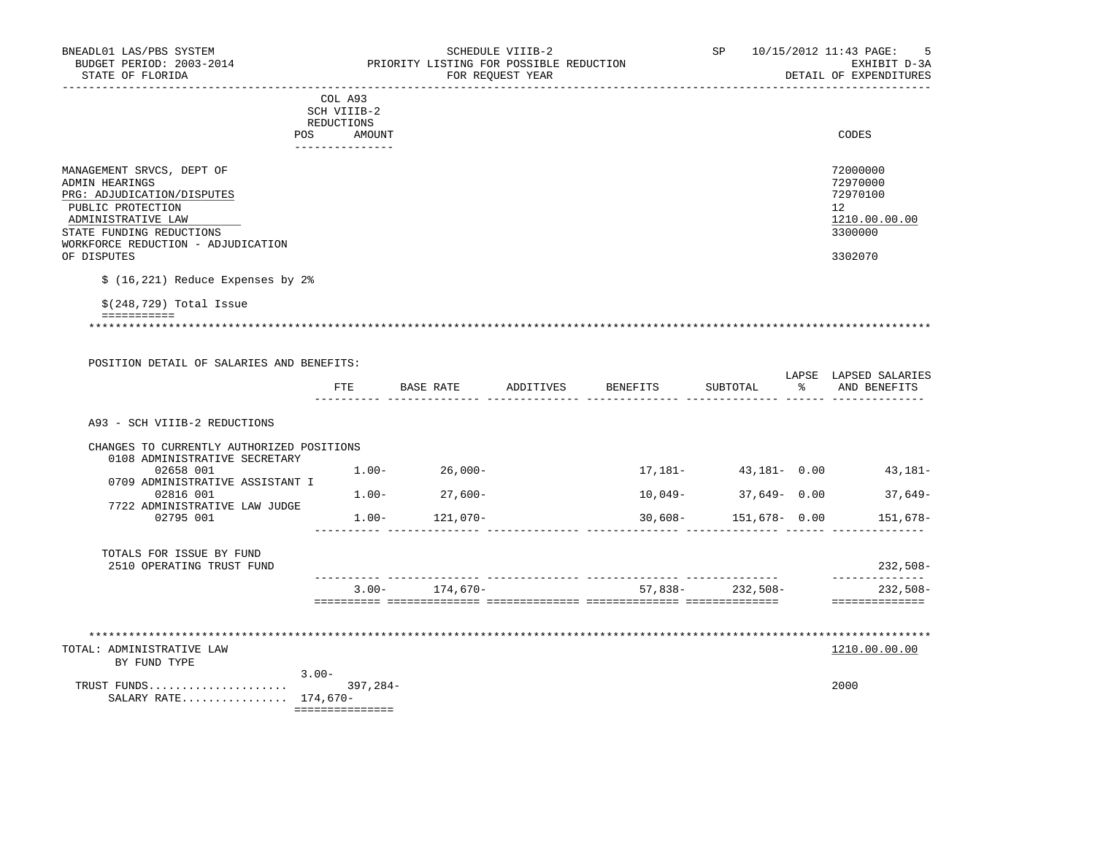| BNEADL01 LAS/PBS SYSTEM<br>BUDGET PERIOD: 2003-2014<br>STATE OF FLORIDA<br><u>___________________</u>                                                                                                 |                                                | PRIORITY LISTING FOR POSSIBLE REDUCTION | SCHEDULE VIIIB-2<br>FOR REQUEST YEAR |                    | SP                     |   | 10/15/2012 11:43 PAGE:<br>-5<br>EXHIBIT D-3A<br>DETAIL OF EXPENDITURES        |
|-------------------------------------------------------------------------------------------------------------------------------------------------------------------------------------------------------|------------------------------------------------|-----------------------------------------|--------------------------------------|--------------------|------------------------|---|-------------------------------------------------------------------------------|
| POS                                                                                                                                                                                                   | COL A93<br>SCH VIIIB-2<br>REDUCTIONS<br>AMOUNT |                                         |                                      |                    |                        |   | CODES                                                                         |
|                                                                                                                                                                                                       | _______________                                |                                         |                                      |                    |                        |   |                                                                               |
| MANAGEMENT SRVCS, DEPT OF<br>ADMIN HEARINGS<br>PRG: ADJUDICATION/DISPUTES<br>PUBLIC PROTECTION<br>ADMINISTRATIVE LAW<br>STATE FUNDING REDUCTIONS<br>WORKFORCE REDUCTION - ADJUDICATION<br>OF DISPUTES |                                                |                                         |                                      |                    |                        |   | 72000000<br>72970000<br>72970100<br>12<br>1210.00.00.00<br>3300000<br>3302070 |
| $$(16, 221)$ Reduce Expenses by 2%                                                                                                                                                                    |                                                |                                         |                                      |                    |                        |   |                                                                               |
| $$(248, 729)$ Total Issue                                                                                                                                                                             |                                                |                                         |                                      |                    |                        |   |                                                                               |
| ===========                                                                                                                                                                                           |                                                |                                         |                                      |                    |                        |   |                                                                               |
|                                                                                                                                                                                                       |                                                |                                         |                                      |                    |                        |   |                                                                               |
| POSITION DETAIL OF SALARIES AND BENEFITS:                                                                                                                                                             |                                                |                                         |                                      |                    |                        |   |                                                                               |
|                                                                                                                                                                                                       | FTE                                            | BASE RATE                               |                                      | ADDITIVES BENEFITS | SUBTOTAL               | ႜ | LAPSE LAPSED SALARIES<br>AND BENEFITS                                         |
| A93 - SCH VIIIB-2 REDUCTIONS                                                                                                                                                                          |                                                |                                         |                                      |                    |                        |   |                                                                               |
| CHANGES TO CURRENTLY AUTHORIZED POSITIONS                                                                                                                                                             |                                                |                                         |                                      |                    |                        |   |                                                                               |
| 0108 ADMINISTRATIVE SECRETARY<br>02658 001                                                                                                                                                            |                                                | $1.00 - 26,000 -$                       |                                      |                    |                        |   | $17,181 43,181-$ 0.00 $43,181-$                                               |
| 0709 ADMINISTRATIVE ASSISTANT I<br>02816 001                                                                                                                                                          |                                                | $1.00 - 27.600 -$                       |                                      |                    | $10,049-$ 37,649- 0.00 |   | 37,649-                                                                       |
| 7722 ADMINISTRATIVE LAW JUDGE<br>02795 001                                                                                                                                                            | $1.00 -$                                       | 121,070-                                |                                      | $30,608-$          | 151,678- 0.00          |   | 151,678–                                                                      |
| TOTALS FOR ISSUE BY FUND                                                                                                                                                                              |                                                |                                         |                                      |                    |                        |   |                                                                               |
| 2510 OPERATING TRUST FUND                                                                                                                                                                             |                                                |                                         |                                      |                    |                        |   | 232,508-<br>______________                                                    |
|                                                                                                                                                                                                       | $3.00 -$                                       | 174.670-                                |                                      |                    | $57,838-232,508-$      |   | 232,508-<br>==============                                                    |
|                                                                                                                                                                                                       |                                                |                                         |                                      |                    |                        |   |                                                                               |
| TOTAL: ADMINISTRATIVE LAW<br>BY FUND TYPE                                                                                                                                                             |                                                |                                         |                                      |                    |                        |   | 1210.00.00.00                                                                 |
| $3.00 -$<br>SALARY RATE 174,670-                                                                                                                                                                      | ===============                                |                                         |                                      |                    |                        |   | 2000                                                                          |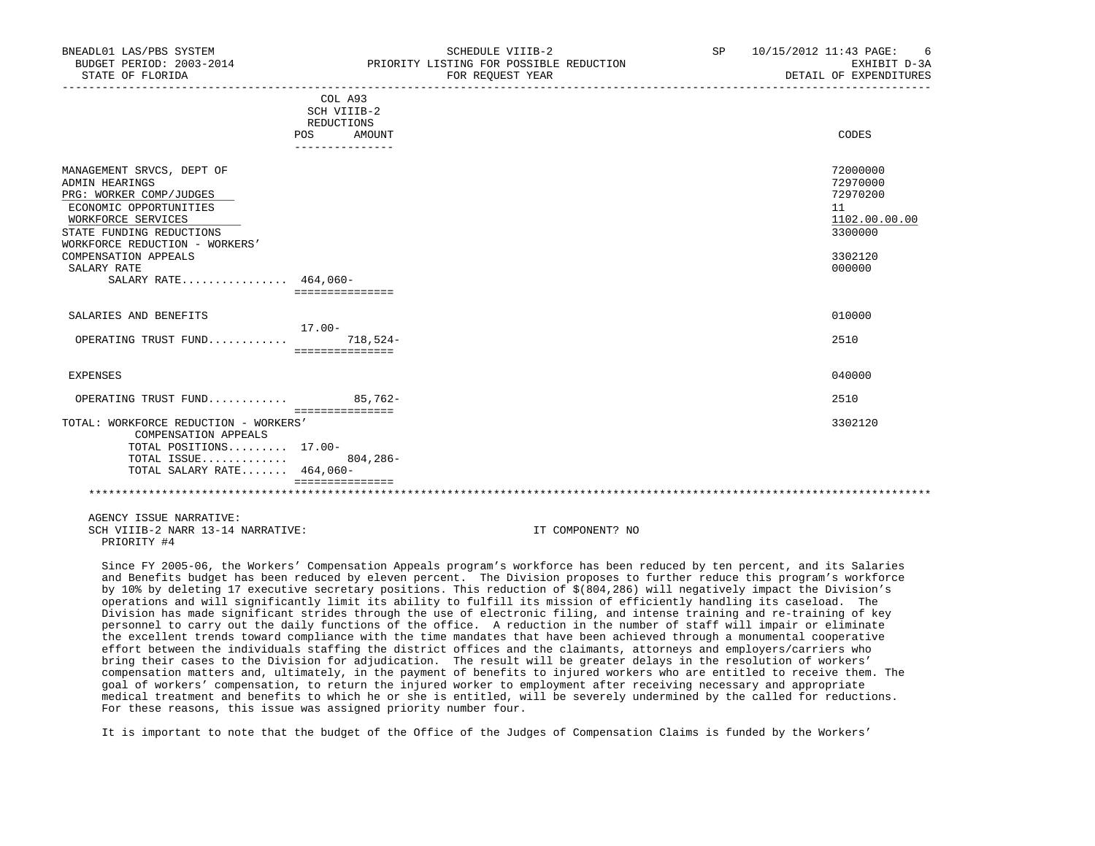| BNEADL01 LAS/PBS SYSTEM<br>BUDGET PERIOD: 2003-2014<br>STATE OF FLORIDA                                                                                                                                                                                    |                                                                       | SCHEDULE VIIIB-2<br>PRIORITY LISTING FOR POSSIBLE REDUCTION<br>FOR REOUEST YEAR | SP <sub>2</sub><br>_________________________ | 10/15/2012 11:43 PAGE:<br>6<br>EXHIBIT D-3A<br>DETAIL OF EXPENDITURES                   |
|------------------------------------------------------------------------------------------------------------------------------------------------------------------------------------------------------------------------------------------------------------|-----------------------------------------------------------------------|---------------------------------------------------------------------------------|----------------------------------------------|-----------------------------------------------------------------------------------------|
|                                                                                                                                                                                                                                                            | COL A93<br>SCH VIIIB-2<br>REDUCTIONS<br>POS AMOUNT<br>_______________ |                                                                                 |                                              | CODES                                                                                   |
| MANAGEMENT SRVCS, DEPT OF<br><b>ADMIN HEARINGS</b><br>PRG: WORKER COMP/JUDGES<br>ECONOMIC OPPORTUNITIES<br>WORKFORCE SERVICES<br>STATE FUNDING REDUCTIONS<br>WORKFORCE REDUCTION - WORKERS'<br>COMPENSATION APPEALS<br>SALARY RATE<br>SALARY RATE 464,060- | ===============                                                       |                                                                                 |                                              | 72000000<br>72970000<br>72970200<br>11<br>1102.00.00.00<br>3300000<br>3302120<br>000000 |
| SALARIES AND BENEFITS                                                                                                                                                                                                                                      | $17.00 -$                                                             |                                                                                 |                                              | 010000                                                                                  |
| OPERATING TRUST FUND 718,524-                                                                                                                                                                                                                              | ===============                                                       |                                                                                 |                                              | 2510                                                                                    |
| <b>EXPENSES</b>                                                                                                                                                                                                                                            |                                                                       |                                                                                 |                                              | 040000                                                                                  |
| OPERATING TRUST FUND 85,762-                                                                                                                                                                                                                               |                                                                       |                                                                                 |                                              | 2510                                                                                    |
| TOTAL: WORKFORCE REDUCTION - WORKERS'<br>COMPENSATION APPEALS<br>TOTAL POSITIONS 17.00-<br>TOTAL ISSUE<br>TOTAL SALARY RATE 464,060-                                                                                                                       | ===============<br>$804, 286 -$<br>===============                    |                                                                                 |                                              | 3302120                                                                                 |
|                                                                                                                                                                                                                                                            |                                                                       |                                                                                 |                                              |                                                                                         |
| AGENCY ISSUE NARRATIVE:<br>SCH VIIIB-2 NARR 13-14 NARRATIVE:<br>PRIORITY #4                                                                                                                                                                                |                                                                       | IT COMPONENT? NO                                                                |                                              |                                                                                         |

 Since FY 2005-06, the Workers' Compensation Appeals program's workforce has been reduced by ten percent, and its Salaries and Benefits budget has been reduced by eleven percent. The Division proposes to further reduce this program's workforce by 10% by deleting 17 executive secretary positions. This reduction of \$(804,286) will negatively impact the Division's operations and will significantly limit its ability to fulfill its mission of efficiently handling its caseload. The Division has made significant strides through the use of electronic filing, and intense training and re-training of key personnel to carry out the daily functions of the office. A reduction in the number of staff will impair or eliminate the excellent trends toward compliance with the time mandates that have been achieved through a monumental cooperative effort between the individuals staffing the district offices and the claimants, attorneys and employers/carriers who bring their cases to the Division for adjudication. The result will be greater delays in the resolution of workers' compensation matters and, ultimately, in the payment of benefits to injured workers who are entitled to receive them. The goal of workers' compensation, to return the injured worker to employment after receiving necessary and appropriate medical treatment and benefits to which he or she is entitled, will be severely undermined by the called for reductions. For these reasons, this issue was assigned priority number four.

It is important to note that the budget of the Office of the Judges of Compensation Claims is funded by the Workers'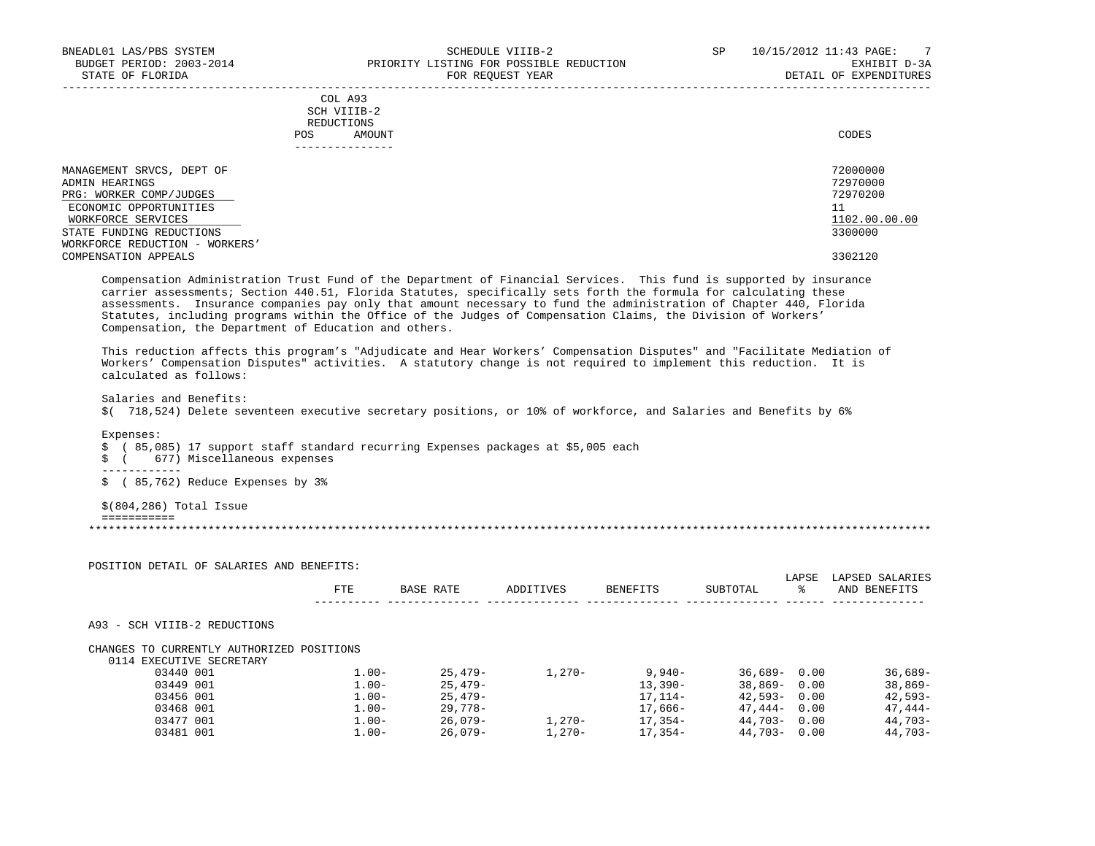|     | --------------- |       |
|-----|-----------------|-------|
| POS | AMOUNT          | CODES |
|     | REDUCTIONS      |       |
|     | SCH VIIIB-2     |       |
|     | COL A93         |       |

| MANAGEMENT SRVCS, DEPT OF      | 72000000      |
|--------------------------------|---------------|
| ADMIN HEARINGS                 | 72970000      |
| PRG: WORKER COMP/JUDGES        | 72970200      |
| ECONOMIC OPPORTUNITIES         |               |
| WORKFORCE SERVICES             | 1102.00.00.00 |
| STATE FUNDING REDUCTIONS       | 3300000       |
| WORKFORCE REDUCTION - WORKERS' |               |
| COMPENSATION APPEALS           | 3302120       |

-----------------------------------------------------------------------------------------------------------------------------------

 Compensation Administration Trust Fund of the Department of Financial Services. This fund is supported by insurance carrier assessments; Section 440.51, Florida Statutes, specifically sets forth the formula for calculating these assessments. Insurance companies pay only that amount necessary to fund the administration of Chapter 440, Florida Statutes, including programs within the Office of the Judges of Compensation Claims, the Division of Workers' Compensation, the Department of Education and others.

 This reduction affects this program's "Adjudicate and Hear Workers' Compensation Disputes" and "Facilitate Mediation of Workers' Compensation Disputes" activities. A statutory change is not required to implement this reduction. It is calculated as follows:

Salaries and Benefits:

\$( 718,524) Delete seventeen executive secretary positions, or 10% of workforce, and Salaries and Benefits by 6%

Expenses:

\$ ( 85,085) 17 support staff standard recurring Expenses packages at \$5,005 each

\$ ( 677) Miscellaneous expenses

------------

\$ ( 85,762) Reduce Expenses by 3%

\$(804,286) Total Issue

===========

\*\*\*\*\*\*\*\*\*\*\*\*\*\*\*\*\*\*\*\*\*\*\*\*\*\*\*\*\*\*\*\*\*\*\*\*\*\*\*\*\*\*\*\*\*\*\*\*\*\*\*\*\*\*\*\*\*\*\*\*\*\*\*\*\*\*\*\*\*\*\*\*\*\*\*\*\*\*\*\*\*\*\*\*\*\*\*\*\*\*\*\*\*\*\*\*\*\*\*\*\*\*\*\*\*\*\*\*\*\*\*\*\*\*\*\*\*\*\*\*\*\*\*\*\*\*\*

POSITION DETAIL OF SALARIES AND BENEFITS:

|                                           | <b>FTE</b> | BASE RATE | ADDITIVES | <b>BENEFITS</b> | SUBTOTAL        | LAPSE<br>°≈ | LAPSED SALARIES<br>AND BENEFITS |
|-------------------------------------------|------------|-----------|-----------|-----------------|-----------------|-------------|---------------------------------|
| A93 - SCH VIIIB-2 REDUCTIONS              |            |           |           |                 |                 |             |                                 |
| CHANGES TO CURRENTLY AUTHORIZED POSITIONS |            |           |           |                 |                 |             |                                 |
| 0114 EXECUTIVE SECRETARY                  |            |           |           |                 |                 |             |                                 |
| 03440 001                                 | $1.00 -$   | $25.479-$ | $1.270-$  | $9.940 -$       | $36.689 - 0.00$ |             | $36,689-$                       |
| 03449 001                                 | $1.00 -$   | $25.479-$ |           | $13,390-$       | $38.869 -$      | 0.00        | $38,869-$                       |
| 03456 001                                 | $1.00 -$   | $25.479-$ |           | $17.114-$       | $42,593-$       | 0.00        | $42.593-$                       |
| 03468 001                                 | $1.00 -$   | 29,778-   |           | 17,666-         | 47,444-         | 0.00        | $47.444-$                       |
| 03477 001                                 | $1.00 -$   | 26,079-   | $1.270 -$ | 17,354-         | 44,703-         | 0.00        | 44,703-                         |
| 03481 001                                 | $1.00 -$   | $26.079-$ | $1.270-$  | $17.354-$       | 44,703-         | 0.00        | 44,703-                         |
|                                           |            |           |           |                 |                 |             |                                 |